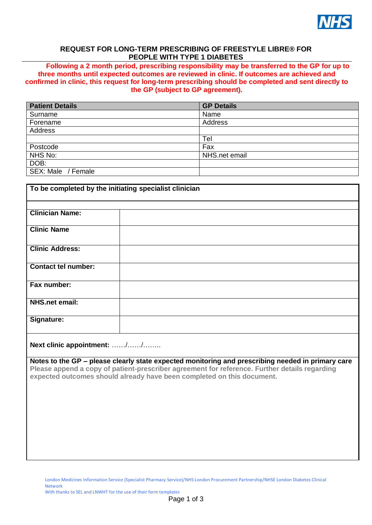

# **REQUEST FOR LONG-TERM PRESCRIBING OF FREESTYLE LIBRE® FOR PEOPLE WITH TYPE 1 DIABETES**

**Following a 2 month period, prescribing responsibility may be transferred to the GP for up to three months until expected outcomes are reviewed in clinic. If outcomes are achieved and confirmed in clinic, this request for long-term prescribing should be completed and sent directly to the GP (subject to GP agreement).**

| <b>Patient Details</b> | <b>GP Details</b> |
|------------------------|-------------------|
| Surname                | Name              |
| Forename               | Address           |
| <b>Address</b>         |                   |
|                        | Tel               |
| Postcode               | Fax               |
| NHS No:                | NHS.net email     |
| DOB:                   |                   |
| SEX: Male / Female     |                   |

| To be completed by the initiating specialist clinician |  |  |  |  |  |  |
|--------------------------------------------------------|--|--|--|--|--|--|
|                                                        |  |  |  |  |  |  |
| <b>Clinician Name:</b>                                 |  |  |  |  |  |  |
| <b>Clinic Name</b>                                     |  |  |  |  |  |  |
| <b>Clinic Address:</b>                                 |  |  |  |  |  |  |
| <b>Contact tel number:</b>                             |  |  |  |  |  |  |
| Fax number:                                            |  |  |  |  |  |  |
| <b>NHS.net email:</b>                                  |  |  |  |  |  |  |
| Signature:                                             |  |  |  |  |  |  |

**Next clinic appointment:** ……/……/……..

**Notes to the GP – please clearly state expected monitoring and prescribing needed in primary care Please append a copy of patient-prescriber agreement for reference. Further details regarding expected outcomes should already have been completed on this document.**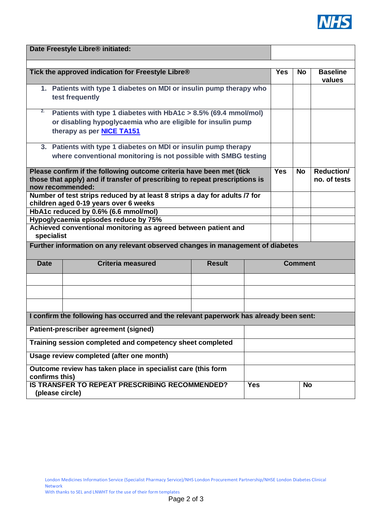

| Date Freestyle Libre® initiated:                                                               |                                                                             |               |                |           |                           |              |  |
|------------------------------------------------------------------------------------------------|-----------------------------------------------------------------------------|---------------|----------------|-----------|---------------------------|--------------|--|
|                                                                                                |                                                                             |               |                |           |                           |              |  |
| Tick the approved indication for Freestyle Libre®                                              |                                                                             |               | <b>Yes</b>     | <b>No</b> | <b>Baseline</b><br>values |              |  |
| 1. Patients with type 1 diabetes on MDI or insulin pump therapy who<br>test frequently         |                                                                             |               |                |           |                           |              |  |
|                                                                                                |                                                                             |               |                |           |                           |              |  |
|                                                                                                | 2.<br>Patients with type 1 diabetes with HbA1c > 8.5% (69.4 mmol/mol)       |               |                |           |                           |              |  |
|                                                                                                | or disabling hypoglycaemia who are eligible for insulin pump                |               |                |           |                           |              |  |
| therapy as per NICE TA151                                                                      |                                                                             |               |                |           |                           |              |  |
| 3. Patients with type 1 diabetes on MDI or insulin pump therapy                                |                                                                             |               |                |           |                           |              |  |
| where conventional monitoring is not possible with SMBG testing                                |                                                                             |               |                |           |                           |              |  |
| Please confirm if the following outcome criteria have been met (tick                           |                                                                             |               | <b>Yes</b>     | <b>No</b> | <b>Reduction/</b>         |              |  |
|                                                                                                | those that apply) and if transfer of prescribing to repeat prescriptions is |               |                |           |                           | no. of tests |  |
| now recommended:<br>Number of test strips reduced by at least 8 strips a day for adults /7 for |                                                                             |               |                |           |                           |              |  |
| children aged 0-19 years over 6 weeks                                                          |                                                                             |               |                |           |                           |              |  |
|                                                                                                | HbA1c reduced by 0.6% (6.6 mmol/mol)                                        |               |                |           |                           |              |  |
| Hypoglycaemia episodes reduce by 75%                                                           |                                                                             |               |                |           |                           |              |  |
| Achieved conventional monitoring as agreed between patient and                                 |                                                                             |               |                |           |                           |              |  |
| specialist                                                                                     |                                                                             |               |                |           |                           |              |  |
| Further information on any relevant observed changes in management of diabetes                 |                                                                             |               |                |           |                           |              |  |
| <b>Date</b>                                                                                    | <b>Criteria measured</b>                                                    | <b>Result</b> | <b>Comment</b> |           |                           |              |  |
|                                                                                                |                                                                             |               |                |           |                           |              |  |
|                                                                                                |                                                                             |               |                |           |                           |              |  |
|                                                                                                |                                                                             |               |                |           |                           |              |  |
| I confirm the following has occurred and the relevant paperwork has already been sent:         |                                                                             |               |                |           |                           |              |  |
| Patient-prescriber agreement (signed)                                                          |                                                                             |               |                |           |                           |              |  |
| Training session completed and competency sheet completed                                      |                                                                             |               |                |           |                           |              |  |
| Usage review completed (after one month)                                                       |                                                                             |               |                |           |                           |              |  |
| Outcome review has taken place in specialist care (this form<br>confirms this)                 |                                                                             |               |                |           |                           |              |  |
| IS TRANSFER TO REPEAT PRESCRIBING RECOMMENDED?                                                 |                                                                             | <b>Yes</b>    | <b>No</b>      |           |                           |              |  |
| (please circle)                                                                                |                                                                             |               |                |           |                           |              |  |

With thanks to SEL and LNWHT for the use of their form templates